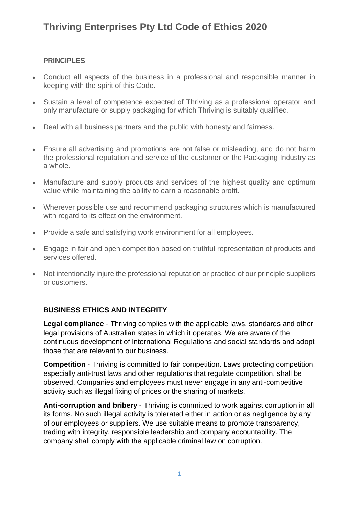# **Thriving Enterprises Pty Ltd Code of Ethics 2020**

#### **PRINCIPLES**

- Conduct all aspects of the business in a professional and responsible manner in keeping with the spirit of this Code.
- Sustain a level of competence expected of Thriving as a professional operator and only manufacture or supply packaging for which Thriving is suitably qualified.
- Deal with all business partners and the public with honesty and fairness.
- Ensure all advertising and promotions are not false or misleading, and do not harm the professional reputation and service of the customer or the Packaging Industry as a whole.
- Manufacture and supply products and services of the highest quality and optimum value while maintaining the ability to earn a reasonable profit.
- Wherever possible use and recommend packaging structures which is manufactured with regard to its effect on the environment.
- Provide a safe and satisfying work environment for all employees.
- Engage in fair and open competition based on truthful representation of products and services offered.
- Not intentionally injure the professional reputation or practice of our principle suppliers or customers.

### **BUSINESS ETHICS AND INTEGRITY**

**Legal compliance** - Thriving complies with the applicable laws, standards and other legal provisions of Australian states in which it operates. We are aware of the continuous development of International Regulations and social standards and adopt those that are relevant to our business.

**Competition** - Thriving is committed to fair competition. Laws protecting competition, especially anti-trust laws and other regulations that regulate competition, shall be observed. Companies and employees must never engage in any anti-competitive activity such as illegal fixing of prices or the sharing of markets.

**Anti-corruption and bribery** - Thriving is committed to work against corruption in all its forms. No such illegal activity is tolerated either in action or as negligence by any of our employees or suppliers. We use suitable means to promote transparency, trading with integrity, responsible leadership and company accountability. The company shall comply with the applicable criminal law on corruption.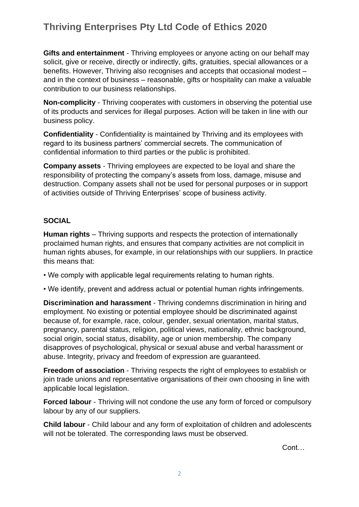# **Thriving Enterprises Pty Ltd Code of Ethics 2020**

**Gifts and entertainment** - Thriving employees or anyone acting on our behalf may solicit, give or receive, directly or indirectly, gifts, gratuities, special allowances or a benefits. However, Thriving also recognises and accepts that occasional modest – and in the context of business – reasonable, gifts or hospitality can make a valuable contribution to our business relationships.

**Non-complicity** - Thriving cooperates with customers in observing the potential use of its products and services for illegal purposes. Action will be taken in line with our business policy.

**Confidentiality** - Confidentiality is maintained by Thriving and its employees with regard to its business partners' commercial secrets. The communication of confidential information to third parties or the public is prohibited.

**Company assets** - Thriving employees are expected to be loyal and share the responsibility of protecting the company's assets from loss, damage, misuse and destruction. Company assets shall not be used for personal purposes or in support of activities outside of Thriving Enterprises' scope of business activity.

#### **SOCIAL**

**Human rights** – Thriving supports and respects the protection of internationally proclaimed human rights, and ensures that company activities are not complicit in human rights abuses, for example, in our relationships with our suppliers. In practice this means that:

• We comply with applicable legal requirements relating to human rights.

• We identify, prevent and address actual or potential human rights infringements.

**Discrimination and harassment** - Thriving condemns discrimination in hiring and employment. No existing or potential employee should be discriminated against because of, for example, race, colour, gender, sexual orientation, marital status, pregnancy, parental status, religion, political views, nationality, ethnic background, social origin, social status, disability, age or union membership. The company disapproves of psychological, physical or sexual abuse and verbal harassment or abuse. Integrity, privacy and freedom of expression are guaranteed.

**Freedom of association** - Thriving respects the right of employees to establish or join trade unions and representative organisations of their own choosing in line with applicable local legislation.

**Forced labour** - Thriving will not condone the use any form of forced or compulsory labour by any of our suppliers.

**Child labour** - Child labour and any form of exploitation of children and adolescents will not be tolerated. The corresponding laws must be observed.

Cont…